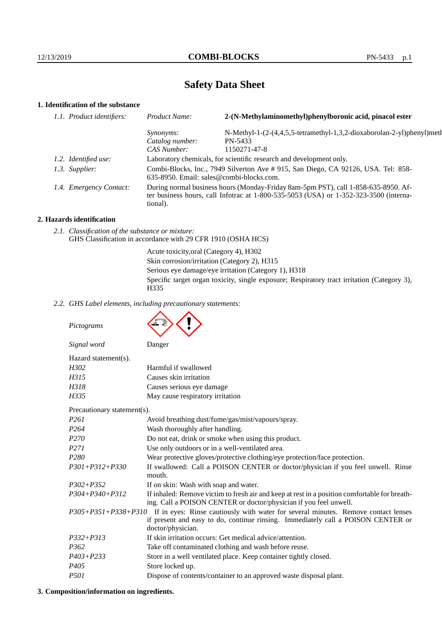# **Safety Data Sheet**

# **1. Identification of the substance**

| 1.1. Product identifiers: | Product Name:                                                                                                                                                                               | 2-(N-Methylaminomethyl)phenylboronic acid, pinacol ester               |
|---------------------------|---------------------------------------------------------------------------------------------------------------------------------------------------------------------------------------------|------------------------------------------------------------------------|
|                           | <i>Synonyms:</i>                                                                                                                                                                            | N-Methyl-1-(2-(4,4,5,5-tetramethyl-1,3,2-dioxaborolan-2-yl)phenyl)meth |
|                           | Catalog number:<br>CAS Number:                                                                                                                                                              | PN-5433<br>1150271-47-8                                                |
| 1.2. Identified use:      | Laboratory chemicals, for scientific research and development only.                                                                                                                         |                                                                        |
| 1.3. Supplier:            | Combi-Blocks, Inc., 7949 Silverton Ave # 915, San Diego, CA 92126, USA. Tel: 858-<br>635-8950. Email: sales@combi-blocks.com.                                                               |                                                                        |
| 1.4. Emergency Contact:   | During normal business hours (Monday-Friday 8am-5pm PST), call 1-858-635-8950. Af-<br>ter business hours, call Infotrac at $1-800-535-5053$ (USA) or $1-352-323-3500$ (interna-<br>tional). |                                                                        |

## **2. Hazards identification**

*2.1. Classification of the substance or mixture:* GHS Classification in accordance with 29 CFR 1910 (OSHA HCS)

> Acute toxicity,oral (Category 4), H302 Skin corrosion/irritation (Category 2), H315 Serious eye damage/eye irritation (Category 1), H318 Specific target organ toxicity, single exposure; Respiratory tract irritation (Category 3), H335

*2.2. GHS Label elements, including precautionary statements:*

*Pictograms*



|                                                                                                                   | Signal word                 | Danger                                                                                                                                                             |
|-------------------------------------------------------------------------------------------------------------------|-----------------------------|--------------------------------------------------------------------------------------------------------------------------------------------------------------------|
|                                                                                                                   | Hazard statement(s).        |                                                                                                                                                                    |
|                                                                                                                   | H302                        | Harmful if swallowed                                                                                                                                               |
|                                                                                                                   | H315                        | Causes skin irritation                                                                                                                                             |
|                                                                                                                   | H318                        | Causes serious eye damage                                                                                                                                          |
|                                                                                                                   | H335                        | May cause respiratory irritation                                                                                                                                   |
|                                                                                                                   | Precautionary statement(s). |                                                                                                                                                                    |
|                                                                                                                   | <i>P261</i>                 | Avoid breathing dust/fume/gas/mist/vapours/spray.                                                                                                                  |
|                                                                                                                   | P <sub>264</sub>            | Wash thoroughly after handling.                                                                                                                                    |
|                                                                                                                   | P <sub>270</sub>            | Do not eat, drink or smoke when using this product.                                                                                                                |
|                                                                                                                   | P <sub>271</sub>            | Use only outdoors or in a well-ventilated area.                                                                                                                    |
|                                                                                                                   | P <sub>280</sub>            | Wear protective gloves/protective clothing/eye protection/face protection.                                                                                         |
|                                                                                                                   | $P301 + P312 + P330$        | If swallowed: Call a POISON CENTER or doctor/physician if you feel unwell. Rinse<br>mouth.                                                                         |
|                                                                                                                   | $P302 + P352$               | If on skin: Wash with soap and water.                                                                                                                              |
|                                                                                                                   | $P304 + P340 + P312$        | If inhaled: Remove victim to fresh air and keep at rest in a position comfortable for breath-<br>ing. Call a POISON CENTER or doctor/physician if you feel unwell. |
| If in eyes: Rinse cautiously with water for several minutes. Remove contact lenses<br>$P305 + P351 + P338 + P310$ |                             |                                                                                                                                                                    |
|                                                                                                                   |                             | if present and easy to do, continue rinsing. Immediately call a POISON CENTER or<br>doctor/physician.                                                              |
|                                                                                                                   | $P332 + P313$               | If skin irritation occurs: Get medical advice/attention.                                                                                                           |
|                                                                                                                   | P <sub>362</sub>            | Take off contaminated clothing and wash before reuse.                                                                                                              |
|                                                                                                                   | $P403 + P233$               | Store in a well ventilated place. Keep container tightly closed.                                                                                                   |
|                                                                                                                   | P <sub>405</sub>            | Store locked up.                                                                                                                                                   |
|                                                                                                                   | <i>P501</i>                 | Dispose of contents/container to an approved waste disposal plant.                                                                                                 |

## **3. Composition/information on ingredients.**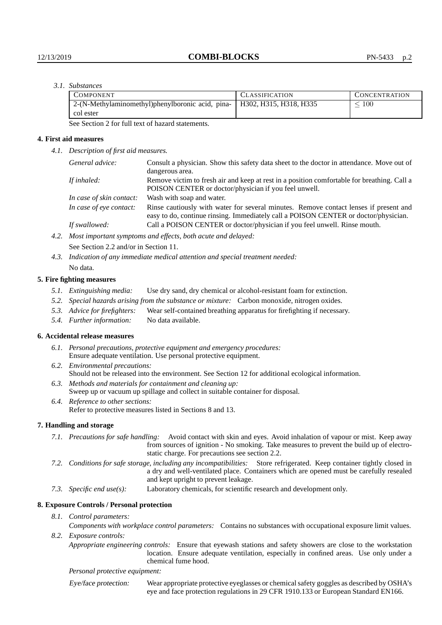## *3.1. Substances*

| <b>COMPONENT</b>                                                          | <b>CLASSIFICATION</b> | <b>CONCENTRATION</b> |
|---------------------------------------------------------------------------|-----------------------|----------------------|
| 2-(N-Methylaminomethyl)phenylboronic acid, pina-   H302, H315, H318, H335 |                       | 100                  |
| col ester                                                                 |                       |                      |

See Section 2 for full text of hazard statements.

## **4. First aid measures**

*4.1. Description of first aid measures.*

| General advice:          | Consult a physician. Show this safety data sheet to the doctor in attendance. Move out of<br>dangerous area.                                                                 |
|--------------------------|------------------------------------------------------------------------------------------------------------------------------------------------------------------------------|
| If inhaled:              | Remove victim to fresh air and keep at rest in a position comfortable for breathing. Call a<br>POISON CENTER or doctor/physician if you feel unwell.                         |
| In case of skin contact: | Wash with soap and water.                                                                                                                                                    |
| In case of eye contact:  | Rinse cautiously with water for several minutes. Remove contact lenses if present and<br>easy to do, continue rinsing. Immediately call a POISON CENTER or doctor/physician. |
| If swallowed:            | Call a POISON CENTER or doctor/physician if you feel unwell. Rinse mouth.                                                                                                    |
|                          | $\mathbf{1}$ $\mathbf{1}$ $\mathbf{1}$ $\mathbf{1}$ $\mathbf{1}$ $\mathbf{1}$ $\mathbf{1}$ $\mathbf{1}$ $\mathbf{1}$ $\mathbf{1}$ $\mathbf{1}$ $\mathbf{1}$ $\mathbf{1}$     |

*4.2. Most important symptoms and effects, both acute and delayed:* See Section 2.2 and/or in Section 11.

*4.3. Indication of any immediate medical attention and special treatment needed:* No data.

## **5. Fire fighting measures**

- *5.1. Extinguishing media:* Use dry sand, dry chemical or alcohol-resistant foam for extinction.
- *5.2. Special hazards arising from the substance or mixture:* Carbon monoxide, nitrogen oxides.
- *5.3. Advice for firefighters:* Wear self-contained breathing apparatus for firefighting if necessary.
- *5.4. Further information:* No data available.

## **6. Accidental release measures**

- *6.1. Personal precautions, protective equipment and emergency procedures:* Ensure adequate ventilation. Use personal protective equipment.
- *6.2. Environmental precautions:* Should not be released into the environment. See Section 12 for additional ecological information.
- *6.3. Methods and materials for containment and cleaning up:* Sweep up or vacuum up spillage and collect in suitable container for disposal.
- *6.4. Reference to other sections:* Refer to protective measures listed in Sections 8 and 13.

## **7. Handling and storage**

- *7.1. Precautions for safe handling:* Avoid contact with skin and eyes. Avoid inhalation of vapour or mist. Keep away from sources of ignition - No smoking. Take measures to prevent the build up of electrostatic charge. For precautions see section 2.2.
- *7.2. Conditions for safe storage, including any incompatibilities:* Store refrigerated. Keep container tightly closed in a dry and well-ventilated place. Containers which are opened must be carefully resealed and kept upright to prevent leakage.
- *7.3. Specific end use(s):* Laboratory chemicals, for scientific research and development only.

#### **8. Exposure Controls / Personal protection**

*8.1. Control parameters:*

*Components with workplace control parameters:* Contains no substances with occupational exposure limit values. *8.2. Exposure controls:*

*Appropriate engineering controls:* Ensure that eyewash stations and safety showers are close to the workstation location. Ensure adequate ventilation, especially in confined areas. Use only under a chemical fume hood.

*Personal protective equipment:*

Eye/face protection: Wear appropriate protective eyeglasses or chemical safety goggles as described by OSHA's eye and face protection regulations in 29 CFR 1910.133 or European Standard EN166.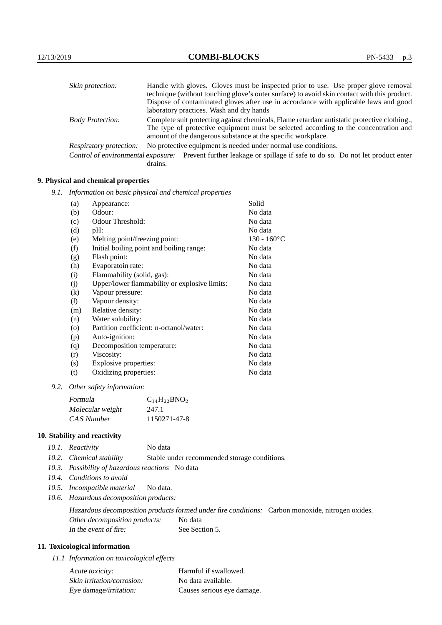| Skin protection:                   | Handle with gloves. Gloves must be inspected prior to use. Use proper glove removal                                                                  |
|------------------------------------|------------------------------------------------------------------------------------------------------------------------------------------------------|
|                                    | technique (without touching glove's outer surface) to avoid skin contact with this product.                                                          |
|                                    | Dispose of contaminated gloves after use in accordance with applicable laws and good<br>laboratory practices. Wash and dry hands                     |
| <b>Body Protection:</b>            | Complete suit protecting against chemicals, Flame retardant antistatic protective clothing.                                                          |
|                                    | The type of protective equipment must be selected according to the concentration and<br>amount of the dangerous substance at the specific workplace. |
| Respiratory protection:            | No protective equipment is needed under normal use conditions.                                                                                       |
| Control of environmental exposure: | Prevent further leakage or spillage if safe to do so. Do not let product enter<br>drains.                                                            |

## **9. Physical and chemical properties**

*9.1. Information on basic physical and chemical properties*

| (a)                        | Appearance:                                   | Solid                |
|----------------------------|-----------------------------------------------|----------------------|
| (b)                        | Odour:                                        | No data              |
| (c)                        | Odour Threshold:                              | No data              |
| (d)                        | pH:                                           | No data              |
| (e)                        | Melting point/freezing point:                 | $130 - 160^{\circ}C$ |
| (f)                        | Initial boiling point and boiling range:      | No data              |
| (g)                        | Flash point:                                  | No data              |
| (h)                        | Evaporatoin rate:                             | No data              |
| (i)                        | Flammability (solid, gas):                    | No data              |
| (j)                        | Upper/lower flammability or explosive limits: | No data              |
| $\rm(k)$                   | Vapour pressure:                              | No data              |
| $\left( \mathrm{l}\right)$ | Vapour density:                               | No data              |
| (m)                        | Relative density:                             | No data              |
| (n)                        | Water solubility:                             | No data              |
| $\circ$                    | Partition coefficient: n-octanol/water:       | No data              |
| (p)                        | Auto-ignition:                                | No data              |
| (q)                        | Decomposition temperature:                    | No data              |
| (r)                        | Viscosity:                                    | No data              |
| (s)                        | Explosive properties:                         | No data              |
| (t)                        | Oxidizing properties:                         | No data              |
|                            |                                               |                      |

*9.2. Other safety information:*

| Formula          | $C_{14}H_{22}BNO_2$ |
|------------------|---------------------|
| Molecular weight | 247.1               |
| CAS Number       | 1150271-47-8        |

## **10. Stability and reactivity**

| 10.1. Reactivity | No data |
|------------------|---------|
|------------------|---------|

- *10.2. Chemical stability* Stable under recommended storage conditions.
- *10.3. Possibility of hazardous reactions* No data
- *10.4. Conditions to avoid*
- *10.5. Incompatible material* No data.
- *10.6. Hazardous decomposition products:*

Hazardous decomposition products formed under fire conditions: Carbon monoxide, nitrogen oxides. Other decomposition products: No data In the event of fire: See Section 5.

## **11. Toxicological information**

*11.1 Information on toxicological effects*

| Acute toxicity:            | Harmful if swallowed.      |
|----------------------------|----------------------------|
| Skin irritation/corrosion: | No data available.         |
| Eye damage/irritation:     | Causes serious eye damage. |